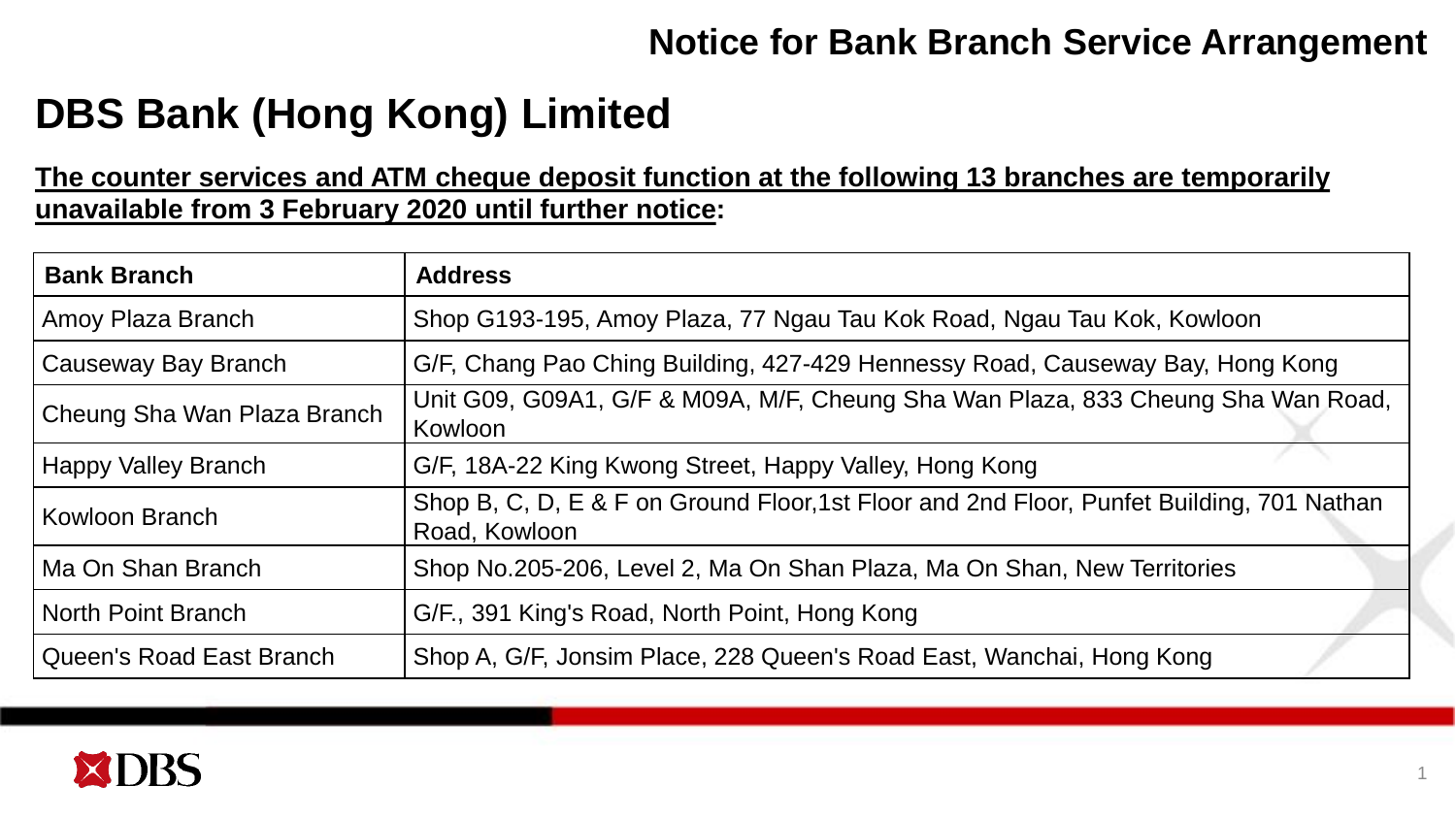## **Notice for Bank Branch Service Arrangement**

## **DBS Bank (Hong Kong) Limited**

**The counter services and ATM cheque deposit function at the following 13 branches are temporarily unavailable from 3 February 2020 until further notice:** 

| <b>Bank Branch</b>          | <b>Address</b>                                                                                             |
|-----------------------------|------------------------------------------------------------------------------------------------------------|
| Amoy Plaza Branch           | Shop G193-195, Amoy Plaza, 77 Ngau Tau Kok Road, Ngau Tau Kok, Kowloon                                     |
| Causeway Bay Branch         | G/F, Chang Pao Ching Building, 427-429 Hennessy Road, Causeway Bay, Hong Kong                              |
| Cheung Sha Wan Plaza Branch | Unit G09, G09A1, G/F & M09A, M/F, Cheung Sha Wan Plaza, 833 Cheung Sha Wan Road,<br>Kowloon                |
| Happy Valley Branch         | G/F, 18A-22 King Kwong Street, Happy Valley, Hong Kong                                                     |
| Kowloon Branch              | Shop B, C, D, E & F on Ground Floor, 1st Floor and 2nd Floor, Punfet Building, 701 Nathan<br>Road, Kowloon |
| Ma On Shan Branch           | Shop No.205-206, Level 2, Ma On Shan Plaza, Ma On Shan, New Territories                                    |
| North Point Branch          | G/F., 391 King's Road, North Point, Hong Kong                                                              |
| Queen's Road East Branch    | Shop A, G/F, Jonsim Place, 228 Queen's Road East, Wanchai, Hong Kong                                       |